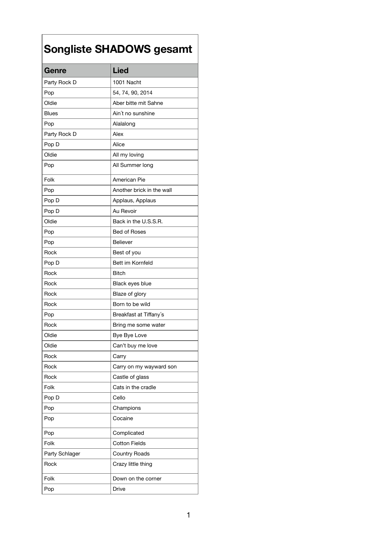| Genre                 | <b>Lied</b>               |
|-----------------------|---------------------------|
| Party Rock D          | 1001 Nacht                |
| Pop                   | 54, 74, 90, 2014          |
| Oldie                 | Aber bitte mit Sahne      |
| <b>Blues</b>          | Ain't no sunshine         |
| Pop                   | Alalalong                 |
| Party Rock D          | Alex                      |
| Pop D                 | Alice                     |
| Oldie                 | All my loving             |
| Pop                   | All Summer long           |
| Folk                  | <b>American Pie</b>       |
| Pop                   | Another brick in the wall |
| Pop D                 | Applaus, Applaus          |
| Pop D                 | Au Revoir                 |
| Oldie                 | Back in the U.S.S.R.      |
| Pop                   | <b>Bed of Roses</b>       |
| Pop                   | <b>Believer</b>           |
| Rock                  | Best of you               |
| Pop D                 | Bett im Kornfeld          |
| <b>Rock</b>           | <b>Bitch</b>              |
| Rock                  | Black eyes blue           |
| Rock                  | Blaze of glory            |
| Rock                  | Born to be wild           |
| Pop                   | Breakfast at Tiffany's    |
| Rock                  | Bring me some water       |
| Oldie                 | Bye Bye Love              |
| Oldie                 | Can't buy me love         |
| Rock                  | Carry                     |
| Rock                  | Carry on my wayward son   |
| Rock                  | Castle of glass           |
| Folk                  | Cats in the cradle        |
| Pop D                 | Cello                     |
| Pop                   | Champions                 |
| Pop                   | Cocaine                   |
| Pop                   | Complicated               |
| Folk                  | <b>Cotton Fields</b>      |
| <b>Party Schlager</b> | <b>Country Roads</b>      |
| Rock                  | Crazy little thing        |
| Folk                  | Down on the corner        |
| Pop                   | <b>Drive</b>              |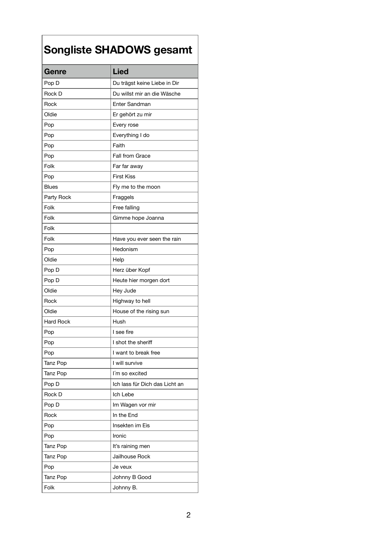| Genre            | <b>Lied</b>                    |
|------------------|--------------------------------|
| Pop D            | Du trägst keine Liebe in Dir   |
| <b>Rock D</b>    | Du willst mir an die Wäsche    |
| Rock             | <b>Enter Sandman</b>           |
| Oldie            | Er gehört zu mir               |
| Pop              | Every rose                     |
| Pop              | Everything I do                |
| Pop              | Faith                          |
| Pop              | <b>Fall from Grace</b>         |
| Folk             | Far far away                   |
| Pop              | <b>First Kiss</b>              |
| <b>Blues</b>     | Fly me to the moon             |
| Party Rock       | Fraggels                       |
| Folk             | Free falling                   |
| Folk             | Gimme hope Joanna              |
| Folk             |                                |
| Folk             | Have you ever seen the rain    |
| Pop              | Hedonism                       |
| Oldie            | Help                           |
| Pop D            | Herz über Kopf                 |
| Pop D            | Heute hier morgen dort         |
| Oldie            | Hey Jude                       |
| Rock             | Highway to hell                |
| Oldie            | House of the rising sun        |
| <b>Hard Rock</b> | Hush                           |
| Pop              | I see fire                     |
| Pop              | I shot the sheriff             |
| Pop              | I want to break free           |
| Tanz Pop         | I will survive                 |
| Tanz Pop         | I'm so excited                 |
| Pop D            | Ich lass für Dich das Licht an |
| <b>Rock D</b>    | Ich Lebe                       |
| Pop D            | Im Wagen vor mir               |
| Rock             | In the End                     |
| Pop              | Insekten im Eis                |
| Pop              | Ironic                         |
| <b>Tanz Pop</b>  | It's raining men               |
| Tanz Pop         | Jailhouse Rock                 |
| Pop              | Je veux                        |
| <b>Tanz Pop</b>  | Johnny B Good                  |
| Folk             | Johnny B.                      |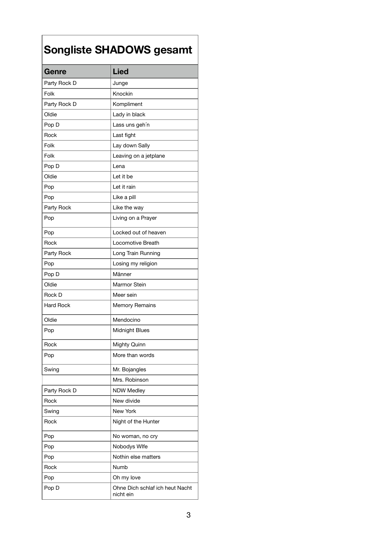| Genre            | <b>Lied</b>                                  |
|------------------|----------------------------------------------|
| Party Rock D     | Junge                                        |
| Folk             | Knockin                                      |
| Party Rock D     | Kompliment                                   |
| Oldie            | Lady in black                                |
| Pop D            | Lass uns geh'n                               |
| Rock             | Last fight                                   |
| Folk             | Lay down Sally                               |
| Folk             | Leaving on a jetplane                        |
| Pop D            | Lena                                         |
| Oldie            | Let it be                                    |
| Pop              | Let it rain                                  |
| Pop              | Like a pill                                  |
| Party Rock       | Like the way                                 |
| Pop              | Living on a Prayer                           |
| Pop              | Locked out of heaven                         |
| Rock             | <b>Locomotive Breath</b>                     |
| Party Rock       | Long Train Running                           |
| Pop              | Losing my religion                           |
| Pop D            | Männer                                       |
| Oldie            | <b>Marmor Stein</b>                          |
| <b>Rock D</b>    | Meer sein                                    |
| <b>Hard Rock</b> | <b>Memory Remains</b>                        |
| Oldie            | Mendocino                                    |
| Pop              | <b>Midnight Blues</b>                        |
| Rock             | <b>Mighty Quinn</b>                          |
| Pop              | More than words                              |
| Swing            | Mr. Bojangles                                |
|                  | Mrs. Robinson                                |
| Party Rock D     | <b>NDW Medley</b>                            |
| Rock             | New divide                                   |
| Swing            | <b>New York</b>                              |
| Rock             | Night of the Hunter                          |
| Pop              | No woman, no cry                             |
| Pop              | Nobodys Wlfe                                 |
| Pop              | Nothin else matters                          |
| Rock             | <b>Numb</b>                                  |
| Pop              | Oh my love                                   |
| Pop D            | Ohne Dich schlaf ich heut Nacht<br>nicht ein |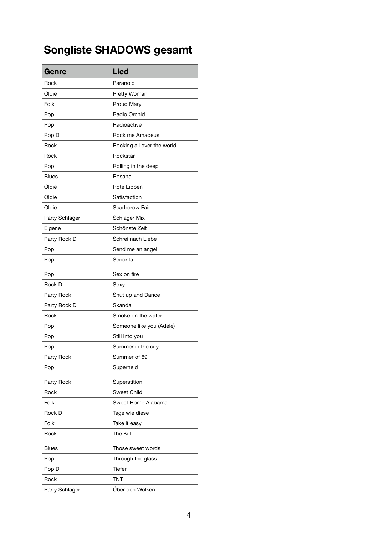| Genre                 | <b>Lied</b>                |
|-----------------------|----------------------------|
| Rock                  | Paranoid                   |
| Oldie                 | <b>Pretty Woman</b>        |
| Folk                  | <b>Proud Mary</b>          |
| Pop                   | Radio Orchid               |
| Pop                   | Radioactive                |
| Pop D                 | Rock me Amadeus            |
| Rock                  | Rocking all over the world |
| Rock                  | Rockstar                   |
| Pop                   | Rolling in the deep        |
| <b>Blues</b>          | Rosana                     |
| Oldie                 | Rote Lippen                |
| Oldie                 | Satisfaction               |
| Oldie                 | <b>Scarborow Fair</b>      |
| <b>Party Schlager</b> | <b>Schlager Mix</b>        |
| Eigene                | Schönste Zeit              |
| Party Rock D          | Schrei nach Liebe          |
| Pop                   | Send me an angel           |
| Pop                   | Senorita                   |
| Pop                   | Sex on fire                |
| <b>Rock D</b>         | Sexy                       |
| Party Rock            | Shut up and Dance          |
| Party Rock D          | Skandal                    |
| Rock                  | Smoke on the water         |
| Pop                   | Someone like you (Adele)   |
| Pop                   | Still into you             |
| Pop                   | Summer in the city         |
| Party Rock            | Summer of 69               |
| Pop                   | Superheld                  |
| Party Rock            | Superstition               |
| Rock                  | <b>Sweet Child</b>         |
| Folk                  | Sweet Home Alabama         |
| <b>Rock D</b>         | Tage wie diese             |
| Folk                  | Take it easy               |
| Rock                  | <b>The Kill</b>            |
| <b>Blues</b>          | Those sweet words          |
| Pop                   | Through the glass          |
| Pop D                 | <b>Tiefer</b>              |
| Rock                  | <b>TNT</b>                 |
| <b>Party Schlager</b> | Über den Wolken            |